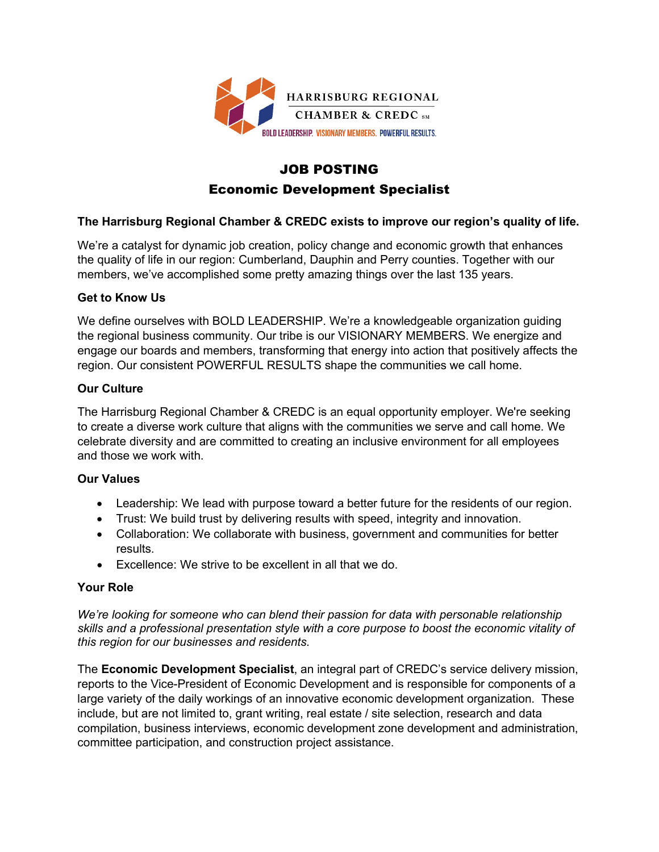

# JOB POSTING Economic Development Specialist

# **The Harrisburg Regional Chamber & CREDC exists to improve our region's quality of life.**

We're a catalyst for dynamic job creation, policy change and economic growth that enhances the quality of life in our region: Cumberland, Dauphin and Perry counties. Together with our members, we've accomplished some pretty amazing things over the last 135 years.

## **Get to Know Us**

We define ourselves with BOLD LEADERSHIP. We're a knowledgeable organization guiding the regional business community. Our tribe is our VISIONARY MEMBERS. We energize and engage our boards and members, transforming that energy into action that positively affects the region. Our consistent POWERFUL RESULTS shape the communities we call home.

## **Our Culture**

The Harrisburg Regional Chamber & CREDC is an equal opportunity employer. We're seeking to create a diverse work culture that aligns with the communities we serve and call home. We celebrate diversity and are committed to creating an inclusive environment for all employees and those we work with.

# **Our Values**

- Leadership: We lead with purpose toward a better future for the residents of our region.
- Trust: We build trust by delivering results with speed, integrity and innovation.
- Collaboration: We collaborate with business, government and communities for better results.
- Excellence: We strive to be excellent in all that we do.

### **Your Role**

*We're looking for someone who can blend their passion for data with personable relationship skills and a professional presentation style with a core purpose to boost the economic vitality of this region for our businesses and residents.*

The **Economic Development Specialist**, an integral part of CREDC's service delivery mission, reports to the Vice-President of Economic Development and is responsible for components of a large variety of the daily workings of an innovative economic development organization. These include, but are not limited to, grant writing, real estate / site selection, research and data compilation, business interviews, economic development zone development and administration, committee participation, and construction project assistance.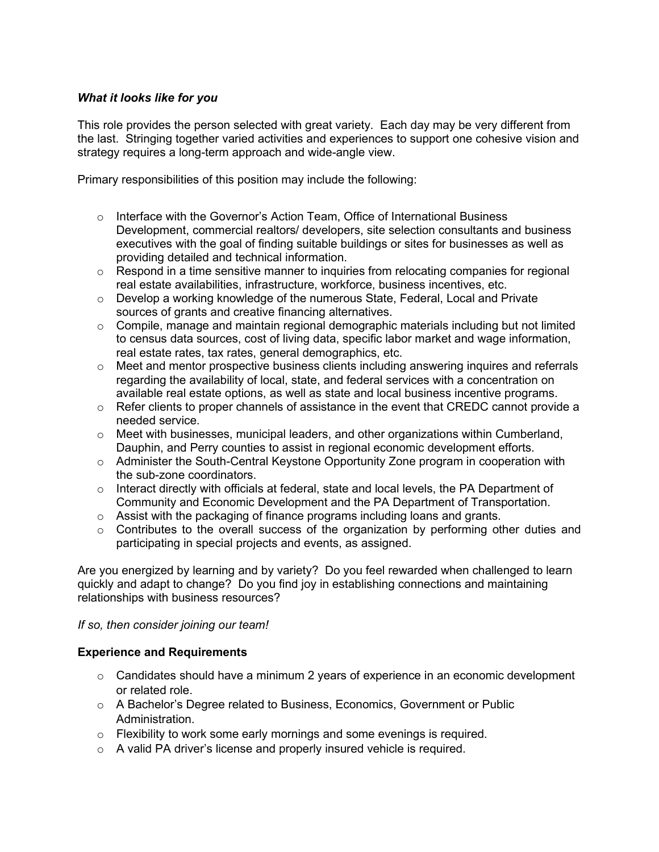### *What it looks like for you*

This role provides the person selected with great variety. Each day may be very different from the last. Stringing together varied activities and experiences to support one cohesive vision and strategy requires a long-term approach and wide-angle view.

Primary responsibilities of this position may include the following:

- $\circ$  Interface with the Governor's Action Team, Office of International Business Development, commercial realtors/ developers, site selection consultants and business executives with the goal of finding suitable buildings or sites for businesses as well as providing detailed and technical information.
- $\circ$  Respond in a time sensitive manner to inquiries from relocating companies for regional real estate availabilities, infrastructure, workforce, business incentives, etc.
- o Develop a working knowledge of the numerous State, Federal, Local and Private sources of grants and creative financing alternatives.
- o Compile, manage and maintain regional demographic materials including but not limited to census data sources, cost of living data, specific labor market and wage information, real estate rates, tax rates, general demographics, etc.
- $\circ$  Meet and mentor prospective business clients including answering inquires and referrals regarding the availability of local, state, and federal services with a concentration on available real estate options, as well as state and local business incentive programs.
- $\circ$  Refer clients to proper channels of assistance in the event that CREDC cannot provide a needed service.
- $\circ$  Meet with businesses, municipal leaders, and other organizations within Cumberland, Dauphin, and Perry counties to assist in regional economic development efforts.
- o Administer the South-Central Keystone Opportunity Zone program in cooperation with the sub-zone coordinators.
- $\circ$  Interact directly with officials at federal, state and local levels, the PA Department of Community and Economic Development and the PA Department of Transportation.
- $\circ$  Assist with the packaging of finance programs including loans and grants.
- $\circ$  Contributes to the overall success of the organization by performing other duties and participating in special projects and events, as assigned.

Are you energized by learning and by variety? Do you feel rewarded when challenged to learn quickly and adapt to change? Do you find joy in establishing connections and maintaining relationships with business resources?

### *If so, then consider joining our team!*

### **Experience and Requirements**

- $\circ$  Candidates should have a minimum 2 years of experience in an economic development or related role.
- o A Bachelor's Degree related to Business, Economics, Government or Public Administration.
- o Flexibility to work some early mornings and some evenings is required.
- o A valid PA driver's license and properly insured vehicle is required.